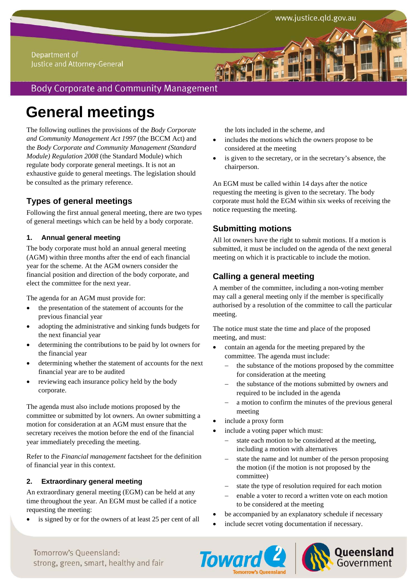#### Department of Justice and Attorney-General

`

# **Body Corporate and Community Management**

# **General meetings**

The following outlines the provisions of the *Body Corporate and Community Management Act 1997* (the BCCM Act) and the *Body Corporate and Community Management (Standard Module) Regulation 2008* (the Standard Module) which regulate body corporate general meetings. It is not an exhaustive guide to general meetings. The legislation should be consulted as the primary reference.

# **Types of general meetings**

Following the first annual general meeting, there are two types of general meetings which can be held by a body corporate.

#### **1. Annual general meeting**

The body corporate must hold an annual general meeting (AGM) within three months after the end of each financial year for the scheme. At the AGM owners consider the financial position and direction of the body corporate, and elect the committee for the next year.

The agenda for an AGM must provide for:

- the presentation of the statement of accounts for the previous financial year
- adopting the administrative and sinking funds budgets for the next financial year
- determining the contributions to be paid by lot owners for the financial year
- determining whether the statement of accounts for the next financial year are to be audited
- reviewing each insurance policy held by the body corporate.

The agenda must also include motions proposed by the committee or submitted by lot owners. An owner submitting a motion for consideration at an AGM must ensure that the secretary receives the motion before the end of the financial year immediately preceding the meeting.

Refer to the *Financial management* factsheet for the definition of financial year in this context.

#### **2. Extraordinary general meeting**

An extraordinary general meeting (EGM) can be held at any time throughout the year. An EGM must be called if a notice requesting the meeting:

is signed by or for the owners of at least 25 per cent of all

the lots included in the scheme, and

- includes the motions which the owners propose to be considered at the meeting
- is given to the secretary, or in the secretary's absence, the chairperson.

An EGM must be called within 14 days after the notice requesting the meeting is given to the secretary. The body corporate must hold the EGM within six weeks of receiving the notice requesting the meeting.

# **Submitting motions**

All lot owners have the right to submit motions. If a motion is submitted, it must be included on the agenda of the next general meeting on which it is practicable to include the motion.

# **Calling a general meeting**

A member of the committee, including a non-voting member may call a general meeting only if the member is specifically authorised by a resolution of the committee to call the particular meeting.

The notice must state the time and place of the proposed meeting, and must:

- contain an agenda for the meeting prepared by the committee. The agenda must include:
	- the substance of the motions proposed by the committee for consideration at the meeting
	- the substance of the motions submitted by owners and required to be included in the agenda
	- a motion to confirm the minutes of the previous general meeting
- include a proxy form
- include a voting paper which must:
	- state each motion to be considered at the meeting, including a motion with alternatives
	- state the name and lot number of the person proposing the motion (if the motion is not proposed by the committee)
	- state the type of resolution required for each motion
	- enable a voter to record a written vote on each motion to be considered at the meeting
- be accompanied by an explanatory schedule if necessary
- include secret voting documentation if necessary.





Tomorrow's Oueensland: strong, green, smart, healthy and fair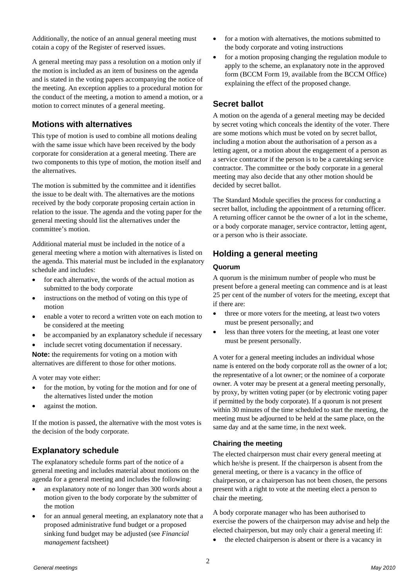Additionally, the notice of an annual general meeting must cotain a copy of the Register of reserved issues.

A general meeting may pass a resolution on a motion only if the motion is included as an item of business on the agenda and is stated in the voting papers accompanying the notice of the meeting. An exception applies to a procedural motion for the conduct of the meeting, a motion to amend a motion, or a motion to correct minutes of a general meeting.

### **Motions with alternatives**

This type of motion is used to combine all motions dealing with the same issue which have been received by the body corporate for consideration at a general meeting. There are two components to this type of motion, the motion itself and the alternatives.

The motion is submitted by the committee and it identifies the issue to be dealt with. The alternatives are the motions received by the body corporate proposing certain action in relation to the issue. The agenda and the voting paper for the general meeting should list the alternatives under the committee's motion.

Additional material must be included in the notice of a general meeting where a motion with alternatives is listed on the agenda. This material must be included in the explanatory schedule and includes:

- for each alternative, the words of the actual motion as submitted to the body corporate
- instructions on the method of voting on this type of motion
- enable a voter to record a written vote on each motion to be considered at the meeting
- be accompanied by an explanatory schedule if necessary
- include secret voting documentation if necessary.

**Note:** the requirements for voting on a motion with alternatives are different to those for other motions.

A voter may vote either:

- for the motion, by voting for the motion and for one of the alternatives listed under the motion
- against the motion.

If the motion is passed, the alternative with the most votes is the decision of the body corporate.

# **Explanatory schedule**

The explanatory schedule forms part of the notice of a general meeting and includes material about motions on the agenda for a general meeting and includes the following:

- an explanatory note of no longer than 300 words about a motion given to the body corporate by the submitter of the motion
- for an annual general meeting, an explanatory note that a proposed administrative fund budget or a proposed sinking fund budget may be adjusted (see *Financial management* factsheet)
- for a motion with alternatives, the motions submitted to the body corporate and voting instructions
- for a motion proposing changing the regulation module to apply to the scheme, an explanatory note in the approved form (BCCM Form 19, available from the BCCM Office) explaining the effect of the proposed change.

# **Secret ballot**

A motion on the agenda of a general meeting may be decided by secret voting which conceals the identity of the voter. There are some motions which must be voted on by secret ballot, including a motion about the authorisation of a person as a letting agent, or a motion about the engagement of a person as a service contractor if the person is to be a caretaking service contractor. The committee or the body corporate in a general meeting may also decide that any other motion should be decided by secret ballot.

The Standard Module specifies the process for conducting a secret ballot, including the appointment of a returning officer. A returning officer cannot be the owner of a lot in the scheme, or a body corporate manager, service contractor, letting agent, or a person who is their associate.

# **Holding a general meeting**

#### **Quorum**

A quorum is the minimum number of people who must be present before a general meeting can commence and is at least 25 per cent of the number of voters for the meeting, except that if there are:

- three or more voters for the meeting, at least two voters must be present personally; and
- less than three voters for the meeting, at least one voter must be present personally.

A voter for a general meeting includes an individual whose name is entered on the body corporate roll as the owner of a lot; the representative of a lot owner; or the nominee of a corporate owner. A voter may be present at a general meeting personally, by proxy, by written voting paper (or by electronic voting paper if permitted by the body corporate). If a quorum is not present within 30 minutes of the time scheduled to start the meeting, the meeting must be adjourned to be held at the same place, on the same day and at the same time, in the next week.

#### **Chairing the meeting**

The elected chairperson must chair every general meeting at which he/she is present. If the chairperson is absent from the general meeting, or there is a vacancy in the office of chairperson, or a chairperson has not been chosen, the persons present with a right to vote at the meeting elect a person to chair the meeting.

A body corporate manager who has been authorised to exercise the powers of the chairperson may advise and help the elected chairperson, but may only chair a general meeting if:

the elected chairperson is absent or there is a vacancy in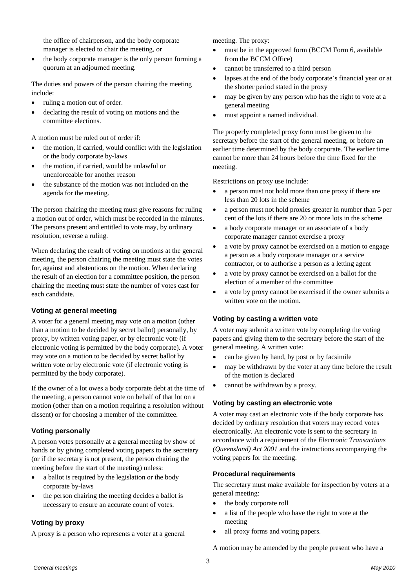the office of chairperson, and the body corporate manager is elected to chair the meeting, or

 the body corporate manager is the only person forming a quorum at an adjourned meeting.

The duties and powers of the person chairing the meeting include:

- ruling a motion out of order.
- declaring the result of voting on motions and the committee elections.

A motion must be ruled out of order if:

- the motion, if carried, would conflict with the legislation or the body corporate by-laws
- the motion, if carried, would be unlawful or unenforceable for another reason
- the substance of the motion was not included on the agenda for the meeting.

The person chairing the meeting must give reasons for ruling a motion out of order, which must be recorded in the minutes. The persons present and entitled to vote may, by ordinary resolution, reverse a ruling.

When declaring the result of voting on motions at the general meeting, the person chairing the meeting must state the votes for, against and abstentions on the motion. When declaring the result of an election for a committee position, the person chairing the meeting must state the number of votes cast for each candidate.

#### **Voting at general meeting**

A voter for a general meeting may vote on a motion (other than a motion to be decided by secret ballot) personally, by proxy, by written voting paper, or by electronic vote (if electronic voting is permitted by the body corporate). A voter may vote on a motion to be decided by secret ballot by written vote or by electronic vote (if electronic voting is permitted by the body corporate).

If the owner of a lot owes a body corporate debt at the time of the meeting, a person cannot vote on behalf of that lot on a motion (other than on a motion requiring a resolution without dissent) or for choosing a member of the committee.

#### **Voting personally**

A person votes personally at a general meeting by show of hands or by giving completed voting papers to the secretary (or if the secretary is not present, the person chairing the meeting before the start of the meeting) unless:

- a ballot is required by the legislation or the body corporate by-laws
- the person chairing the meeting decides a ballot is necessary to ensure an accurate count of votes.

#### **Voting by proxy**

A proxy is a person who represents a voter at a general

meeting. The proxy:

- must be in the approved form (BCCM Form 6, available from the BCCM Office)
- cannot be transferred to a third person
- lapses at the end of the body corporate's financial year or at the shorter period stated in the proxy
- may be given by any person who has the right to vote at a general meeting
- must appoint a named individual.

The properly completed proxy form must be given to the secretary before the start of the general meeting, or before an earlier time determined by the body corporate. The earlier time cannot be more than 24 hours before the time fixed for the meeting.

Restrictions on proxy use include:

- a person must not hold more than one proxy if there are less than 20 lots in the scheme
- a person must not hold proxies greater in number than 5 per cent of the lots if there are 20 or more lots in the scheme
- a body corporate manager or an associate of a body corporate manager cannot exercise a proxy
- a vote by proxy cannot be exercised on a motion to engage a person as a body corporate manager or a service contractor, or to authorise a person as a letting agent
- a vote by proxy cannot be exercised on a ballot for the election of a member of the committee
- a vote by proxy cannot be exercised if the owner submits a written vote on the motion.

#### **Voting by casting a written vote**

A voter may submit a written vote by completing the voting papers and giving them to the secretary before the start of the general meeting. A written vote:

- can be given by hand, by post or by facsimile
- may be withdrawn by the voter at any time before the result of the motion is declared
- cannot be withdrawn by a proxy.

#### **Voting by casting an electronic vote**

A voter may cast an electronic vote if the body corporate has decided by ordinary resolution that voters may record votes electronically. An electronic vote is sent to the secretary in accordance with a requirement of the *Electronic Transactions (Queensland) Act 2001* and the instructions accompanying the voting papers for the meeting.

#### **Procedural requirements**

The secretary must make available for inspection by voters at a general meeting:

- the body corporate roll
- a list of the people who have the right to vote at the meeting
- all proxy forms and voting papers.